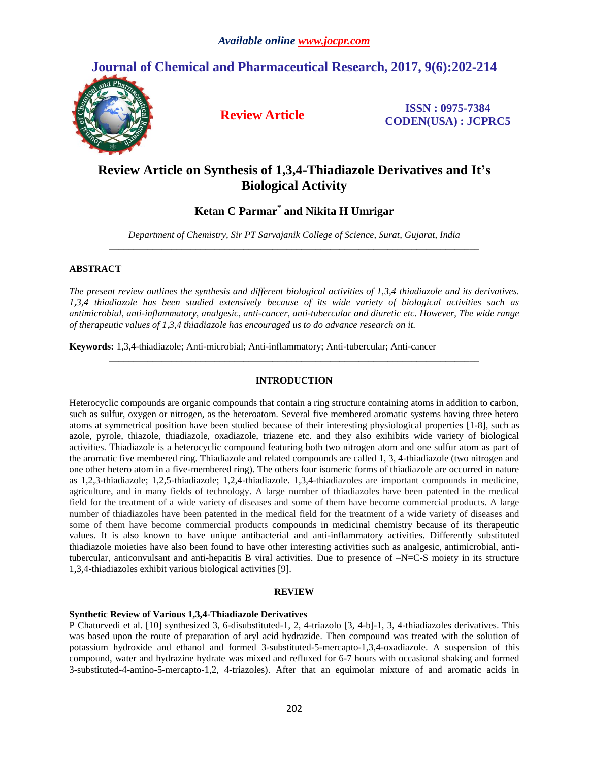# **Journal of Chemical and Pharmaceutical Research, 2017, 9(6):202-214**



**Review Article ISSN : 0975-7384 CODEN(USA) : JCPRC5**

# **Review Article on Synthesis of 1,3,4-Thiadiazole Derivatives and It's Biological Activity**

## **Ketan C Parmar\* and Nikita H Umrigar**

*Department of Chemistry, Sir PT Sarvajanik College of Science, Surat, Gujarat, India \_\_\_\_\_\_\_\_\_\_\_\_\_\_\_\_\_\_\_\_\_\_\_\_\_\_\_\_\_\_\_\_\_\_\_\_\_\_\_\_\_\_\_\_\_\_\_\_\_\_\_\_\_\_\_\_\_\_\_\_\_\_\_\_\_\_\_\_\_\_\_\_\_\_\_\_\_*

### **ABSTRACT**

*The present review outlines the synthesis and different biological activities of 1,3,4 thiadiazole and its derivatives. 1,3,4 thiadiazole has been studied extensively because of its wide variety of biological activities such as antimicrobial, anti-inflammatory, analgesic, anti-cancer, anti-tubercular and diuretic etc. However, The wide range of therapeutic values of 1,3,4 thiadiazole has encouraged us to do advance research on it.*

**Keywords:** 1,3,4-thiadiazole; Anti-microbial; Anti-inflammatory; Anti-tubercular; Anti-cancer

## **INTRODUCTION**

*\_\_\_\_\_\_\_\_\_\_\_\_\_\_\_\_\_\_\_\_\_\_\_\_\_\_\_\_\_\_\_\_\_\_\_\_\_\_\_\_\_\_\_\_\_\_\_\_\_\_\_\_\_\_\_\_\_\_\_\_\_\_\_\_\_\_\_\_\_\_\_\_\_\_\_\_\_*

Heterocyclic compounds are organic compounds that contain a ring structure containing atoms in addition to carbon, such as sulfur, oxygen or nitrogen, as the heteroatom. Several five membered aromatic systems having three hetero atoms at symmetrical position have been studied because of their interesting physiological properties [1-8], such as azole, pyrole, thiazole, thiadiazole, oxadiazole, triazene etc. and they also exihibits wide variety of biological activities. Thiadiazole is a heterocyclic compound featuring both two nitrogen atom and one sulfur atom as part of the aromatic five membered ring. Thiadiazole and related compounds are called 1, 3, 4-thiadiazole (two nitrogen and one other hetero atom in a five-membered ring). The others four isomeric forms of thiadiazole are occurred in nature as 1,2,3-thiadiazole; 1,2,5-thiadiazole; 1,2,4-thiadiazole. 1,3,4-thiadiazoles are important compounds in medicine, agriculture, and in many fields of technology. A large number of thiadiazoles have been patented in the medical field for the treatment of a wide variety of diseases and some of them have become commercial products. A large number of thiadiazoles have been patented in the medical field for the treatment of a wide variety of diseases and some of them have become commercial products compounds in medicinal chemistry because of its therapeutic values. It is also known to have unique antibacterial and anti-inflammatory activities. Differently substituted thiadiazole moieties have also been found to have other interesting activities such as analgesic, antimicrobial, antitubercular, anticonvulsant and anti-hepatitis B viral activities. Due to presence of –N=C-S moiety in its structure 1,3,4-thiadiazoles exhibit various biological activities [9].

### **REVIEW**

#### **Synthetic Review of Various 1,3,4-Thiadiazole Derivatives**

P Chaturvedi et al. [10] synthesized 3, 6-disubstituted-1, 2, 4-triazolo [3, 4-b]-1, 3, 4-thiadiazoles derivatives. This was based upon the route of preparation of aryl acid hydrazide. Then compound was treated with the solution of potassium hydroxide and ethanol and formed 3-substituted-5-mercapto-1,3,4-oxadiazole. A suspension of this compound, water and hydrazine hydrate was mixed and refluxed for 6-7 hours with occasional shaking and formed 3-substituted-4-amino-5-mercapto-1,2, 4-triazoles). After that an equimolar mixture of and aromatic acids in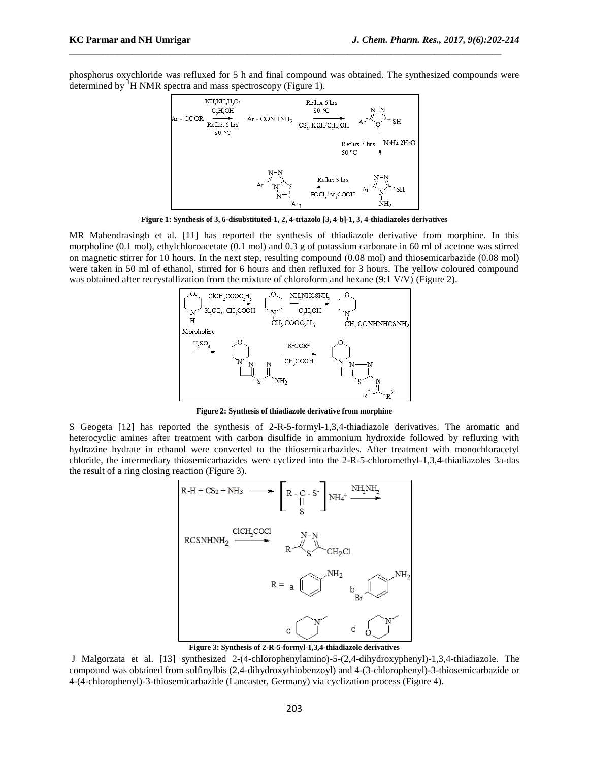phosphorus oxychloride was refluxed for 5 h and final compound was obtained. The synthesized compounds were determined by  ${}^{1}H$  NMR spectra and mass spectroscopy (Figure 1).

\_\_\_\_\_\_\_\_\_\_\_\_\_\_\_\_\_\_\_\_\_\_\_\_\_\_\_\_\_\_\_\_\_\_\_\_\_\_\_\_\_\_\_\_\_\_\_\_\_\_\_\_\_\_\_\_\_\_\_\_\_\_\_\_\_\_\_\_\_\_\_\_\_\_\_\_\_\_\_\_\_\_\_\_\_\_\_\_\_\_



**Figure 1: Synthesis of 3, 6-disubstituted-1, 2, 4-triazolo [3, 4-b]-1, 3, 4-thiadiazoles derivatives** 

MR Mahendrasingh et al. [11] has reported the synthesis of thiadiazole derivative from morphine. In this morpholine (0.1 mol), ethylchloroacetate (0.1 mol) and 0.3 g of potassium carbonate in 60 ml of acetone was stirred on magnetic stirrer for 10 hours. In the next step, resulting compound (0.08 mol) and thiosemicarbazide (0.08 mol) were taken in 50 ml of ethanol, stirred for 6 hours and then refluxed for 3 hours. The yellow coloured compound was obtained after recrystallization from the mixture of chloroform and hexane (9:1 V/V) (Figure 2).



**Figure 2: Synthesis of thiadiazole derivative from morphine**

S Geogeta [12] has reported the synthesis of 2-R-5-formyl-1,3,4-thiadiazole derivatives. The aromatic and heterocyclic amines after treatment with carbon disulfide in ammonium hydroxide followed by refluxing with hydrazine hydrate in ethanol were converted to the thiosemicarbazides. After treatment with monochloracetyl chloride, the intermediary thiosemicarbazides were cyclized into the 2-R-5-chloromethyl-1,3,4-thiadiazoles 3a-das the result of a ring closing reaction (Figure 3).



**Figure 3: Synthesis of 2-R-5-formyl-1,3,4-thiadiazole derivatives**

J Malgorzata et al. [13] synthesized 2-(4-chlorophenylamino)-5-(2,4-dihydroxyphenyl)-1,3,4-thiadiazole. The compound was obtained from sulfinylbis (2,4-dihydroxythiobenzoyl) and 4-(3-chlorophenyl)-3-thiosemicarbazide or 4-(4-chlorophenyl)-3-thiosemicarbazide (Lancaster, Germany) via cyclization process (Figure 4).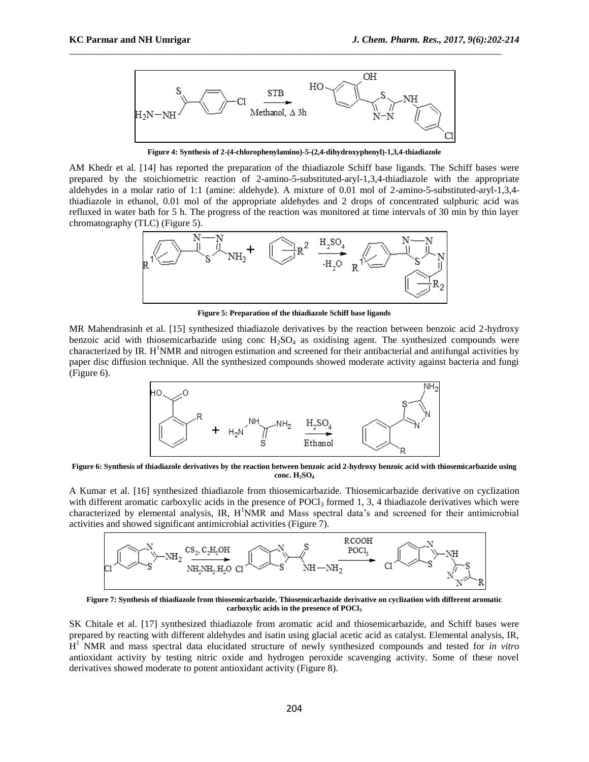

**Figure 4: Synthesis of 2-(4-chlorophenylamino)-5-(2,4-dihydroxyphenyl)-1,3,4-thiadiazole**

AM Khedr et al. [14] has reported the preparation of the thiadiazole Schiff base ligands. The Schiff bases were prepared by the stoichiometric reaction of 2-amino-5-substituted-aryl-1,3,4-thiadiazole with the appropriate aldehydes in a molar ratio of 1:1 (amine: aldehyde). A mixture of 0.01 mol of 2-amino-5-substituted-aryl-1,3,4 thiadiazole in ethanol, 0.01 mol of the appropriate aldehydes and 2 drops of concentrated sulphuric acid was refluxed in water bath for 5 h. The progress of the reaction was monitored at time intervals of 30 min by thin layer chromatography (TLC) (Figure 5).



**Figure 5: Preparation of the thiadiazole Schiff base ligands**

MR Mahendrasinh et al. [15] synthesized thiadiazole derivatives by the reaction between benzoic acid 2-hydroxy benzoic acid with thiosemicarbazide using conc  $H_2SO_4$  as oxidising agent. The synthesized compounds were characterized by IR.  $H<sup>1</sup>NMR$  and nitrogen estimation and screened for their antibacterial and antifungal activities by paper disc diffusion technique. All the synthesized compounds showed moderate activity against bacteria and fungi (Figure 6).



**Figure 6: Synthesis of thiadiazole derivatives by the reaction between benzoic acid 2-hydroxy benzoic acid with thiosemicarbazide using conc. H2SO<sup>4</sup>**

A Kumar et al. [16] synthesized thiadiazole from thiosemicarbazide. Thiosemicarbazide derivative on cyclization with different aromatic carboxylic acids in the presence of POCl<sub>3</sub> formed 1, 3, 4 thiadiazole derivatives which were characterized by elemental analysis, IR,  $H<sup>1</sup>NMR$  and Mass spectral data's and screened for their antimicrobial activities and showed significant antimicrobial activities (Figure 7).



**Figure 7: Synthesis of thiadiazole from thiosemicarbazide. Thiosemicarbazide derivative on cyclization with different aromatic carboxylic acids in the presence of POCl<sup>3</sup>**

SK Chitale et al. [17] synthesized thiadiazole from aromatic acid and thiosemicarbazide, and Schiff bases were prepared by reacting with different aldehydes and isatin using glacial acetic acid as catalyst. Elemental analysis, IR, H<sup>1</sup> NMR and mass spectral data elucidated structure of newly synthesized compounds and tested for *in vitro* antioxidant activity by testing nitric oxide and hydrogen peroxide scavenging activity. Some of these novel derivatives showed moderate to potent antioxidant activity (Figure 8).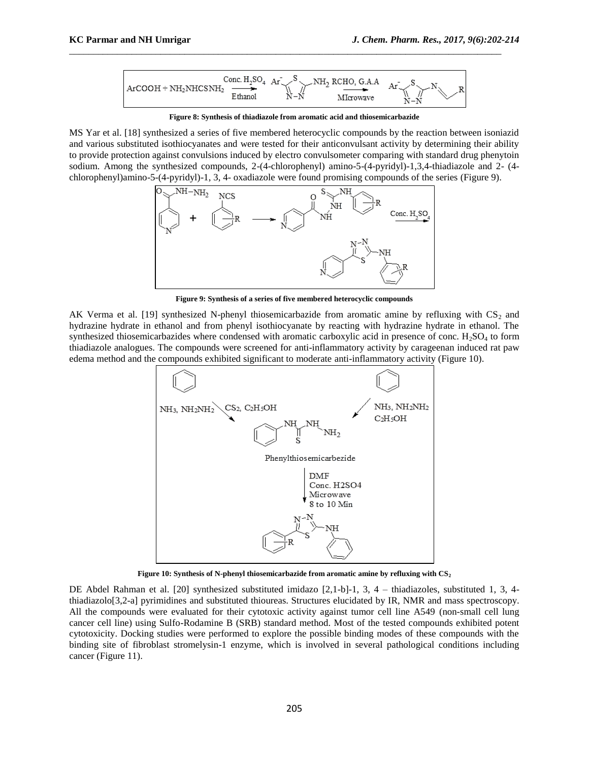

**Figure 8: Synthesis of thiadiazole from aromatic acid and thiosemicarbazide**

MS Yar et al. [18] synthesized a series of five membered heterocyclic compounds by the reaction between isoniazid and various substituted isothiocyanates and were tested for their anticonvulsant activity by determining their ability to provide protection against convulsions induced by electro convulsometer comparing with standard drug phenytoin sodium. Among the synthesized compounds, 2-(4-chlorophenyl) amino-5-(4-pyridyl)-1,3,4-thiadiazole and 2- (4 chlorophenyl)amino-5-(4-pyridyl)-1, 3, 4- oxadiazole were found promising compounds of the series (Figure 9).



**Figure 9: Synthesis of a series of five membered heterocyclic compounds**

AK Verma et al. [19] synthesized N-phenyl thiosemicarbazide from aromatic amine by refluxing with  $CS_2$  and hydrazine hydrate in ethanol and from phenyl isothiocyanate by reacting with hydrazine hydrate in ethanol. The synthesized thiosemicarbazides where condensed with aromatic carboxylic acid in presence of conc. H<sub>2</sub>SO<sub>4</sub> to form thiadiazole analogues. The compounds were screened for anti-inflammatory activity by carageenan induced rat paw edema method and the compounds exhibited significant to moderate anti-inflammatory activity (Figure 10).



**Figure 10: Synthesis of N-phenyl thiosemicarbazide from aromatic amine by refluxing with CS<sup>2</sup>**

DE Abdel Rahman et al. [20] synthesized substituted imidazo [2,1-b]-1, 3, 4 – thiadiazoles, substituted 1, 3, 4 thiadiazolo[3,2-a] pyrimidines and substituted thioureas. Structures elucidated by IR, NMR and mass spectroscopy. All the compounds were evaluated for their cytotoxic activity against tumor cell line A549 (non-small cell lung cancer cell line) using Sulfo-Rodamine B (SRB) standard method. Most of the tested compounds exhibited potent cytotoxicity. Docking studies were performed to explore the possible binding modes of these compounds with the binding site of fibroblast stromelysin-1 enzyme, which is involved in several pathological conditions including cancer (Figure 11).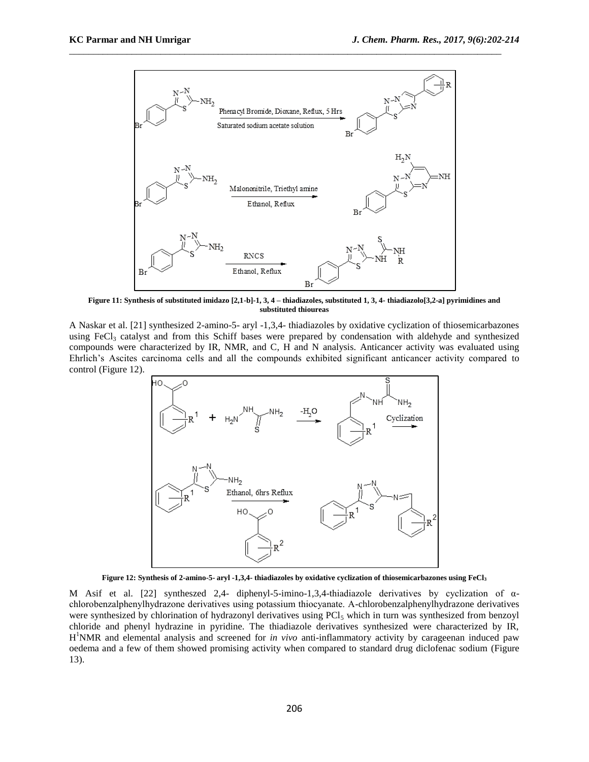

**Figure 11: Synthesis of substituted imidazo [2,1-b]-1, 3, 4 – thiadiazoles, substituted 1, 3, 4- thiadiazolo[3,2-a] pyrimidines and substituted thioureas**

A Naskar et al. [21] synthesized 2-amino-5- aryl -1,3,4- thiadiazoles by oxidative cyclization of thiosemicarbazones using FeCl<sub>3</sub> catalyst and from this Schiff bases were prepared by condensation with aldehyde and synthesized compounds were characterized by IR, NMR, and C, H and N analysis. Anticancer activity was evaluated using Ehrlich's Ascites carcinoma cells and all the compounds exhibited significant anticancer activity compared to control (Figure 12).



**Figure 12: Synthesis of 2-amino-5- aryl -1,3,4- thiadiazoles by oxidative cyclization of thiosemicarbazones using FeCl<sup>3</sup>**

M Asif et al. [22] syntheszed 2,4- diphenyl-5-imino-1,3,4-thiadiazole derivatives by cyclization of  $\alpha$ chlorobenzalphenylhydrazone derivatives using potassium thiocyanate. Α-chlorobenzalphenylhydrazone derivatives were synthesized by chlorination of hydrazonyl derivatives using PCl<sub>5</sub> which in turn was synthesized from benzoyl chloride and phenyl hydrazine in pyridine. The thiadiazole derivatives synthesized were characterized by IR, H <sup>1</sup>NMR and elemental analysis and screened for *in vivo* anti-inflammatory activity by carageenan induced paw oedema and a few of them showed promising activity when compared to standard drug diclofenac sodium (Figure 13).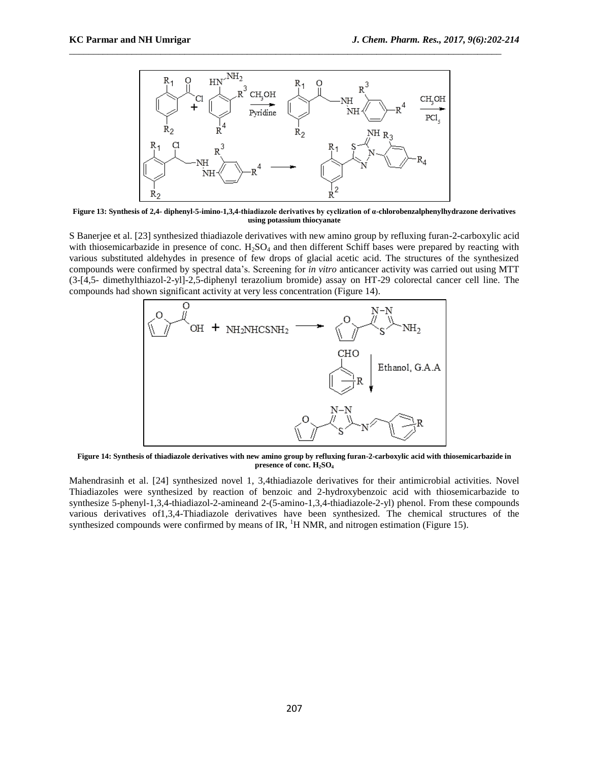

**Figure 13: Synthesis of 2,4- diphenyl-5-imino-1,3,4-thiadiazole derivatives by cyclization of α-chlorobenzalphenylhydrazone derivatives using potassium thiocyanate**

S Banerjee et al. [23] synthesized thiadiazole derivatives with new amino group by refluxing furan-2-carboxylic acid with thiosemicarbazide in presence of conc.  $H_2SO_4$  and then different Schiff bases were prepared by reacting with various substituted aldehydes in presence of few drops of glacial acetic acid. The structures of the synthesized compounds were confirmed by spectral data's. Screening for *in vitro* anticancer activity was carried out using MTT (3-[4,5- dimethylthiazol-2-yl]-2,5-diphenyl terazolium bromide) assay on HT-29 colorectal cancer cell line. The compounds had shown significant activity at very less concentration (Figure 14).



**Figure 14: Synthesis of thiadiazole derivatives with new amino group by refluxing furan-2-carboxylic acid with thiosemicarbazide in presence of conc. H2SO<sup>4</sup>**

Mahendrasinh et al. [24] synthesized novel 1, 3,4thiadiazole derivatives for their antimicrobial activities. Novel Thiadiazoles were synthesized by reaction of benzoic and 2-hydroxybenzoic acid with thiosemicarbazide to synthesize 5-phenyl-1,3,4-thiadiazol-2-amineand 2-(5-amino-1,3,4-thiadiazole-2-yl) phenol. From these compounds various derivatives of1,3,4-Thiadiazole derivatives have been synthesized. The chemical structures of the synthesized compounds were confirmed by means of IR,  ${}^{1}H$  NMR, and nitrogen estimation (Figure 15).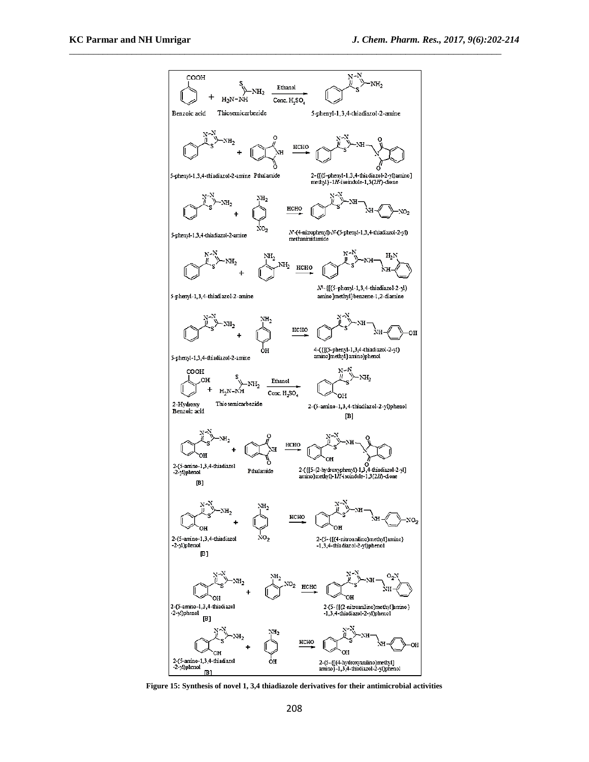

**Figure 15: Synthesis of novel 1, 3,4 thiadiazole derivatives for their antimicrobial activities**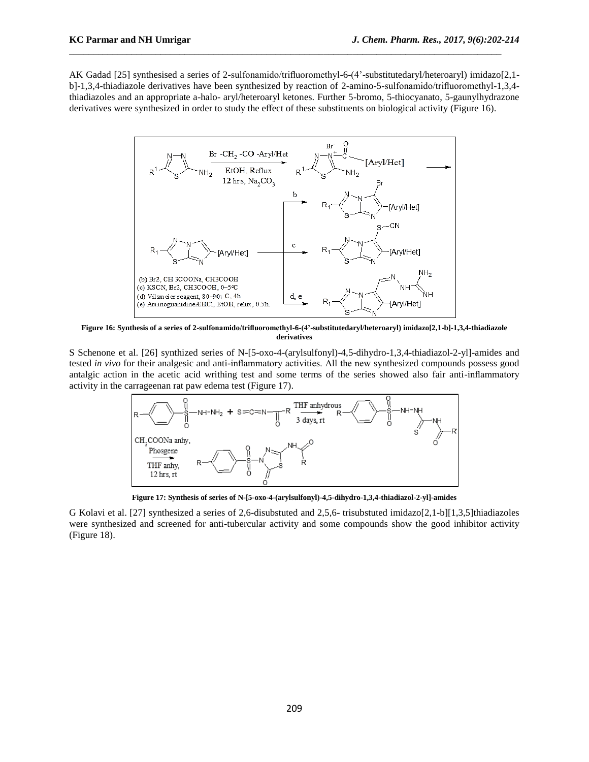AK Gadad [25] synthesised a series of 2-sulfonamido/trifluoromethyl-6-(4'-substitutedaryl/heteroaryl) imidazo[2,1 b]-1,3,4-thiadiazole derivatives have been synthesized by reaction of 2-amino-5-sulfonamido/trifluoromethyl-1,3,4 thiadiazoles and an appropriate a-halo- aryl/heteroaryl ketones. Further 5-bromo, 5-thiocyanato, 5-gaunylhydrazone derivatives were synthesized in order to study the effect of these substituents on biological activity (Figure 16).

\_\_\_\_\_\_\_\_\_\_\_\_\_\_\_\_\_\_\_\_\_\_\_\_\_\_\_\_\_\_\_\_\_\_\_\_\_\_\_\_\_\_\_\_\_\_\_\_\_\_\_\_\_\_\_\_\_\_\_\_\_\_\_\_\_\_\_\_\_\_\_\_\_\_\_\_\_\_\_\_\_\_\_\_\_\_\_\_\_\_



**Figure 16: Synthesis of a series of 2-sulfonamido/trifluoromethyl-6-(4'-substitutedaryl/heteroaryl) imidazo[2,1-b]-1,3,4-thiadiazole derivatives**

S Schenone et al. [26] synthized series of N-[5-oxo-4-(arylsulfonyl)-4,5-dihydro-1,3,4-thiadiazol-2-yl]-amides and tested *in vivo* for their analgesic and anti-inflammatory activities. All the new synthesized compounds possess good antalgic action in the acetic acid writhing test and some terms of the series showed also fair anti-inflammatory activity in the carrageenan rat paw edema test (Figure 17).



**Figure 17: Synthesis of series of N-[5-oxo-4-(arylsulfonyl)-4,5-dihydro-1,3,4-thiadiazol-2-yl]-amides**

G Kolavi et al. [27] synthesized a series of 2,6-disubstuted and 2,5,6- trisubstuted imidazo[2,1-b][1,3,5]thiadiazoles were synthesized and screened for anti-tubercular activity and some compounds show the good inhibitor activity (Figure 18).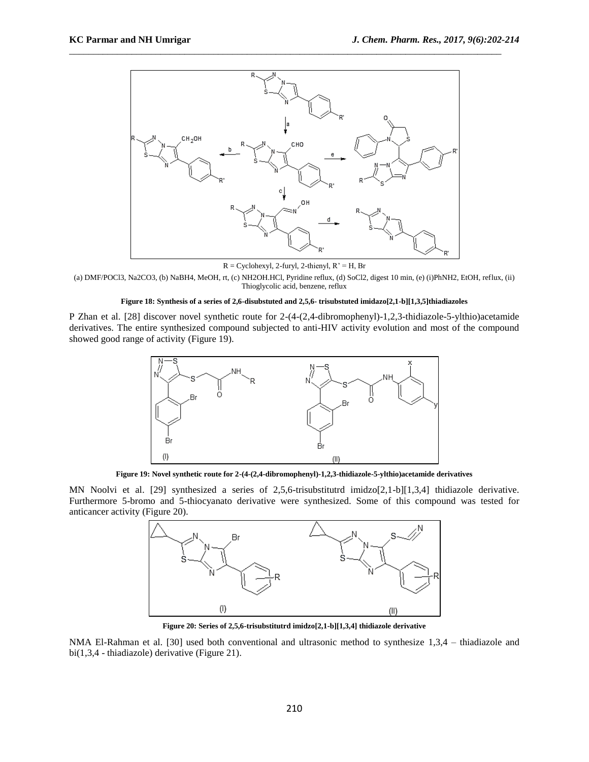

 $R = Cyclohexyl$ , 2-furyl, 2-thienyl,  $R' = H$ , Br

(a) DMF/POCl3, Na2CO3, (b) NaBH4, MeOH, rt, (c) NH2OH.HCl, Pyridine reflux, (d) SoCl2, digest 10 min, (e) (i)PhNH2, EtOH, reflux, (ii) Thioglycolic acid, benzene, reflux

#### **Figure 18: Synthesis of a series of 2,6-disubstuted and 2,5,6- trisubstuted imidazo[2,1-b][1,3,5]thiadiazoles**

P Zhan et al. [28] discover novel synthetic route for 2-(4-(2,4-dibromophenyl)-1,2,3-thidiazole-5-ylthio)acetamide derivatives. The entire synthesized compound subjected to anti-HIV activity evolution and most of the compound showed good range of activity (Figure 19).



**Figure 19: Novel synthetic route for 2-(4-(2,4-dibromophenyl)-1,2,3-thidiazole-5-ylthio)acetamide derivatives**

MN Noolvi et al. [29] synthesized a series of 2,5,6-trisubstitutrd imidzo[2,1-b][1,3,4] thidiazole derivative. Furthermore 5-bromo and 5-thiocyanato derivative were synthesized. Some of this compound was tested for anticancer activity (Figure 20).



**Figure 20: Series of 2,5,6-trisubstitutrd imidzo[2,1-b][1,3,4] thidiazole derivative**

NMA El-Rahman et al. [30] used both conventional and ultrasonic method to synthesize 1,3,4 – thiadiazole and bi(1,3,4 - thiadiazole) derivative (Figure 21).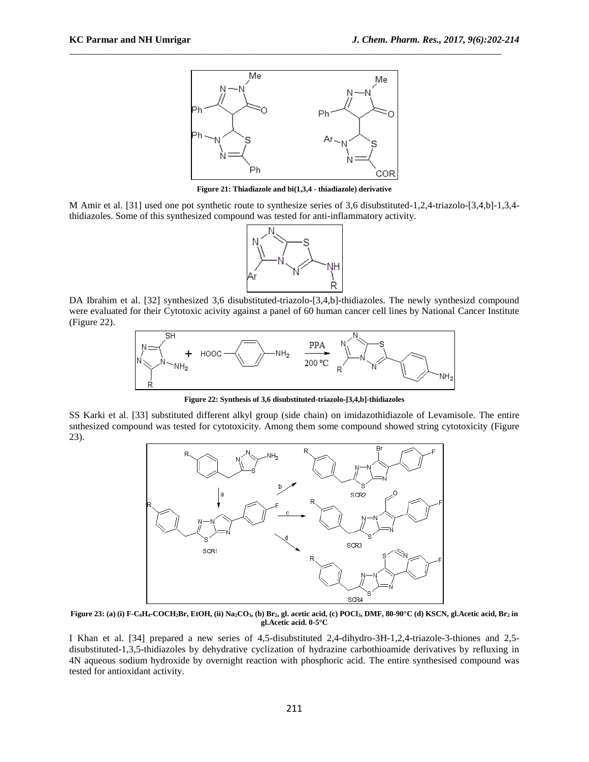

**Figure 21: Thiadiazole and bi(1,3,4 - thiadiazole) derivative**

M Amir et al. [31] used one pot synthetic route to synthesize series of 3,6 disubstituted-1,2,4-triazolo-[3,4,b]-1,3,4 thidiazoles. Some of this synthesized compound was tested for anti-inflammatory activity.



DA Ibrahim et al. [32] synthesized 3,6 disubstituted-triazolo-[3,4,b]-thidiazoles. The newly synthesizd compound were evaluated for their Cytotoxic acivity against a panel of 60 human cancer cell lines by National Cancer Institute (Figure 22).



**Figure 22: Synthesis of 3,6 disubstituted-triazolo-[3,4,b]-thidiazoles**

SS Karki et al. [33] substituted different alkyl group (side chain) on imidazothidiazole of Levamisole. The entire snthesized compound was tested for cytotoxicity. Among them some compound showed string cytotoxicity (Figure 23).



Figure 23: (a) (i) F-C<sub>6</sub>H<sub>4</sub>-COCH<sub>2</sub>Br, EtOH, (ii) Na<sub>2</sub>CO<sub>3</sub>, (b) Br<sub>2</sub>, gl. acetic acid, (c) POCl<sub>3</sub>, DMF, 80-90°C (d) KSCN, gl.Acetic acid, Br<sub>2</sub> in **gl.Acetic acid. 0-5°C**

I Khan et al. [34] prepared a new series of 4,5-disubstituted 2,4-dihydro-3H-1,2,4-triazole-3-thiones and 2,5 disubstituted-1,3,5-thidiazoles by dehydrative cyclization of hydrazine carbothioamide derivatives by refluxing in 4N aqueous sodium hydroxide by overnight reaction with phosphoric acid. The entire synthesised compound was tested for antioxidant activity.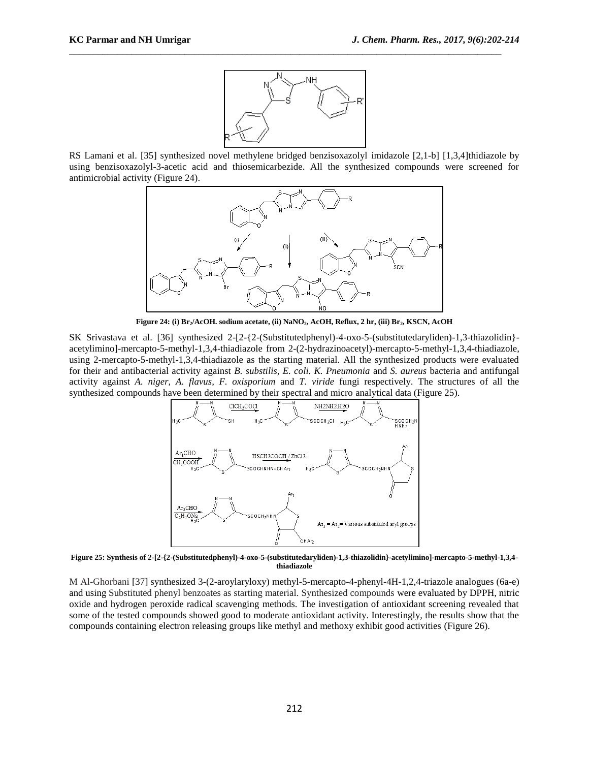

RS Lamani et al. [35] synthesized novel methylene bridged benzisoxazolyl imidazole [2,1-b] [1,3,4]thidiazole by using benzisoxazolyl-3-acetic acid and thiosemicarbezide. All the synthesized compounds were screened for antimicrobial activity (Figure 24).



**Figure 24: (i) Br2/AcOH. sodium acetate, (ii) NaNO2, AcOH, Reflux, 2 hr, (iii) Br2, KSCN, AcOH**

SK Srivastava et al. [36] synthesized 2-[2-{2-(Substitutedphenyl)-4-oxo-5-(substitutedaryliden)-1,3-thiazolidin} acetylimino]-mercapto-5-methyl-1,3,4-thiadiazole from 2-(2-hydrazinoacetyl)-mercapto-5-methyl-1,3,4-thiadiazole, using 2-mercapto-5-methyl-1,3,4-thiadiazole as the starting material. All the synthesized products were evaluated for their and antibacterial activity against *B. substilis, E. coli. K. Pneumonia* and *S. aureus* bacteria and antifungal activity against *A. niger*, *A. flavus, F. oxisporium* and *T. viride* fungi respectively. The structures of all the synthesized compounds have been determined by their spectral and micro analytical data (Figure 25).



**Figure 25: Synthesis of 2-[2-{2-(Substitutedphenyl)-4-oxo-5-(substitutedaryliden)-1,3-thiazolidin}-acetylimino]-mercapto-5-methyl-1,3,4 thiadiazole**

M Al-Ghorbani [37] synthesized 3-(2-aroylaryloxy) methyl-5-mercapto-4-phenyl-4H-1,2,4-triazole analogues (6a-e) and using Substituted phenyl benzoates as starting material. Synthesized compounds were evaluated by DPPH, nitric oxide and hydrogen peroxide radical scavenging methods. The investigation of antioxidant screening revealed that some of the tested compounds showed good to moderate antioxidant activity. Interestingly, the results show that the compounds containing electron releasing groups like methyl and methoxy exhibit good activities (Figure 26).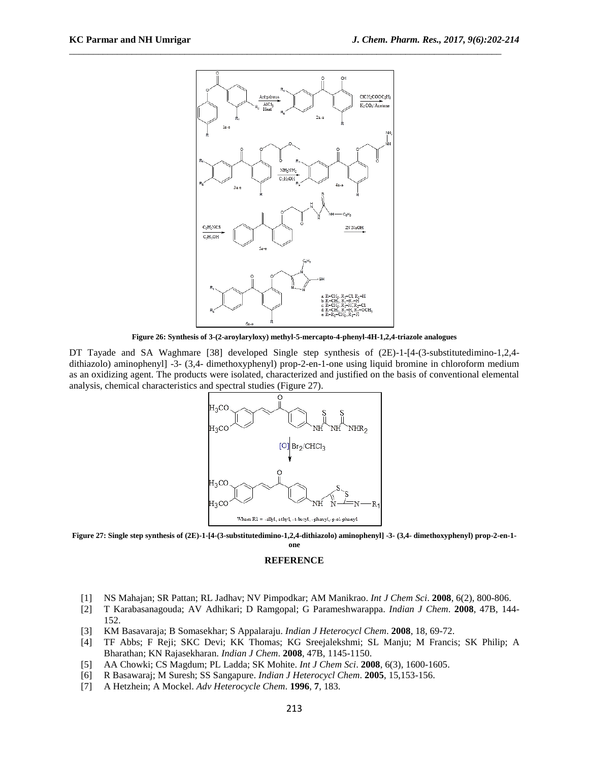

**Figure 26: Synthesis of 3-(2-aroylaryloxy) methyl-5-mercapto-4-phenyl-4H-1,2,4-triazole analogues**

DT Tayade and SA Waghmare [38] developed Single step synthesis of (2E)-1-[4-(3-substitutedimino-1,2,4dithiazolo) aminophenyl] -3- (3,4- dimethoxyphenyl) prop-2-en-1-one using liquid bromine in chloroform medium as an oxidizing agent. The products were isolated, characterized and justified on the basis of conventional elemental analysis, chemical characteristics and spectral studies (Figure 27).



**Figure 27: Single step synthesis of (2E)-1-[4-(3-substitutedimino-1,2,4-dithiazolo) aminophenyl] -3- (3,4- dimethoxyphenyl) prop-2-en-1-**

**one**

#### **REFERENCE**

- [1] NS Mahajan; SR Pattan; RL Jadhav; NV Pimpodkar; AM Manikrao. *Int J Chem Sci*. **2008**, 6(2), 800-806.
- [2] T Karabasanagouda; AV Adhikari; D Ramgopal; G Parameshwarappa. *Indian J Chem*. **2008**, 47B, 144- 152.
- [3] KM Basavaraja; B Somasekhar; S Appalaraju. *Indian J Heterocycl Chem*. **2008**, 18, 69-72.
- [4] TF Abbs; F Reji; SKC Devi; KK Thomas; KG Sreejalekshmi; SL Manju; M Francis; SK Philip; A Bharathan; KN Rajasekharan. *Indian J Chem*. **2008**, 47B, 1145-1150.
- [5] AA Chowki; CS Magdum; PL Ladda; SK Mohite. *Int J Chem Sci*. **2008**, 6(3), 1600-1605.
- [6] R Basawaraj; M Suresh; SS Sangapure. *Indian J Heterocycl Chem*. **2005**, 15,153-156.
- [7] A Hetzhein; A Mockel. *Adv Heterocycle Chem*. **1996**, **7**, 183.